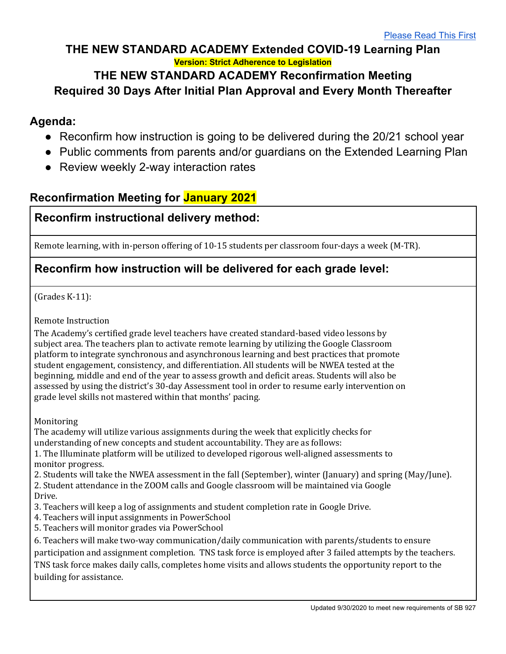## **THE NEW STANDARD ACADEMY Extended COVID-19 Learning Plan Version: Strict Adherence to Legislation**

#### **THE NEW STANDARD ACADEMY Reconfirmation Meeting Required 30 Days After Initial Plan Approval and Every Month Thereafter**

## **Agenda:**

- Reconfirm how instruction is going to be delivered during the 20/21 school year
- Public comments from parents and/or guardians on the Extended Learning Plan
- Review weekly 2-way interaction rates

# **Reconfirmation Meeting for January 2021**

## **Reconfirm instructional delivery method:**

Remote learning, with in-person offering of 10-15 students per classroom four-days a week (M-TR).

## **Reconfirm how instruction will be delivered for each grade level:**

 $(Grades K-11):$ 

Remote Instruction

The Academy's certified grade level teachers have created standard-based video lessons by subject area. The teachers plan to activate remote learning by utilizing the Google Classroom platform to integrate synchronous and asynchronous learning and best practices that promote student engagement, consistency, and differentiation. All students will be NWEA tested at the beginning, middle and end of the year to assess growth and deficit areas. Students will also be assessed by using the district's 30-day Assessment tool in order to resume early intervention on grade level skills not mastered within that months' pacing.

Monitoring

The academy will utilize various assignments during the week that explicitly checks for understanding of new concepts and student accountability. They are as follows:

1. The Illuminate platform will be utilized to developed rigorous well-aligned assessments to monitor progress.

2. Students will take the NWEA assessment in the fall (September), winter (January) and spring (May/June).

2. Student attendance in the ZOOM calls and Google classroom will be maintained via Google Drive.

- 3. Teachers will keep a log of assignments and student completion rate in Google Drive.
- 4. Teachers will input assignments in PowerSchool
- 5. Teachers will monitor grades via PowerSchool

6. Teachers will make two-way communication/daily communication with parents/students to ensure

participation and assignment completion. TNS task force is employed after 3 failed attempts by the teachers.

TNS task force makes daily calls, completes home visits and allows students the opportunity report to the building for assistance.